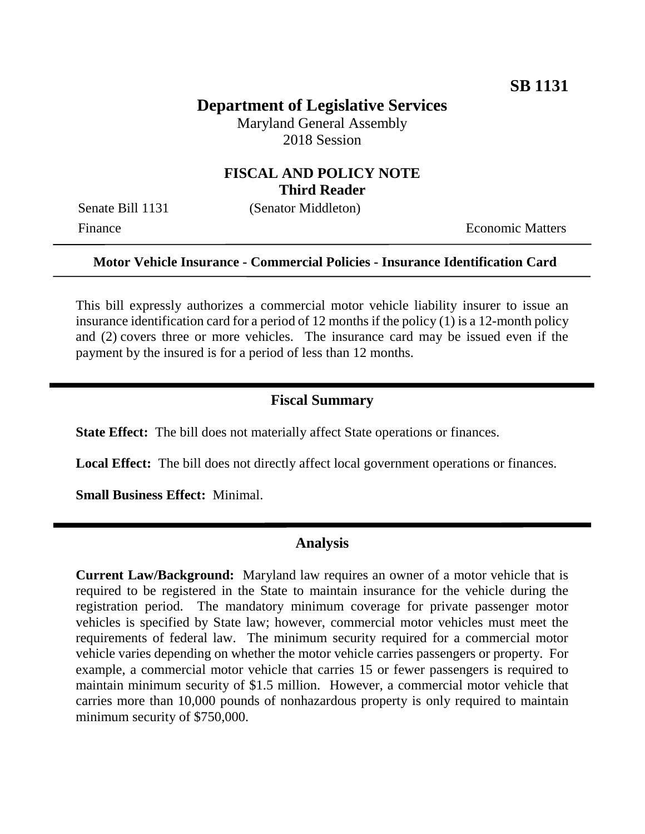# **Department of Legislative Services**

Maryland General Assembly 2018 Session

### **FISCAL AND POLICY NOTE Third Reader**

Senate Bill 1131 (Senator Middleton)

Finance **Exercífical Economic Matters** 

### **Motor Vehicle Insurance - Commercial Policies - Insurance Identification Card**

This bill expressly authorizes a commercial motor vehicle liability insurer to issue an insurance identification card for a period of 12 months if the policy (1) is a 12-month policy and (2) covers three or more vehicles. The insurance card may be issued even if the payment by the insured is for a period of less than 12 months.

#### **Fiscal Summary**

**State Effect:** The bill does not materially affect State operations or finances.

Local Effect: The bill does not directly affect local government operations or finances.

**Small Business Effect:** Minimal.

#### **Analysis**

**Current Law/Background:** Maryland law requires an owner of a motor vehicle that is required to be registered in the State to maintain insurance for the vehicle during the registration period. The mandatory minimum coverage for private passenger motor vehicles is specified by State law; however, commercial motor vehicles must meet the requirements of federal law. The minimum security required for a commercial motor vehicle varies depending on whether the motor vehicle carries passengers or property. For example, a commercial motor vehicle that carries 15 or fewer passengers is required to maintain minimum security of \$1.5 million. However, a commercial motor vehicle that carries more than 10,000 pounds of nonhazardous property is only required to maintain minimum security of \$750,000.